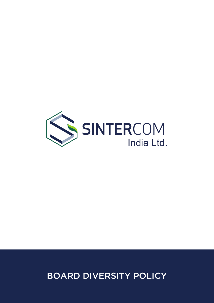

BOARD DIVERSITY POLICY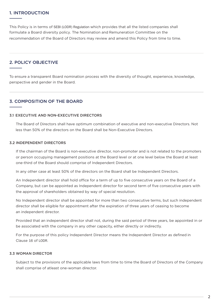### 1. INTRODUCTION

This Policy is in terms of SEBI (LODR) Regulation which provides that all the listed companies shall formulate a Board diversity policy. The Nomination and Remuneration Committee on the recommendation of the Board of Directors may review and amend this Policy from time to time.

## 2. POLICY OBJECTIVE

To ensure a transparent Board nomination process with the diversity of thought, experience, knowledge, perspective and gender in the Board.

## 3. COMPOSITION OF THE BOARD

#### 3.1 EXECUTIVE AND NON-EXECUTIVE DIRECTORS

 The Board of Directors shall have optimum combination of executive and non-executive Directors. Not less than 50% of the directors on the Board shall be Non-Executive Directors.

#### 3.2 INDEPENDENT DIRECTORS

 If the chairman of the Board is non-executive director, non-promoter and is not related to the promoters or person occupying management positions at the Board level or at one level below the Board at least one-third of the Board should comprise of Independent Directors.

In any other case at least 50% of the directors on the Board shall be Independent Directors.

 An Independent director shall hold office for a term of up to five consecutive years on the Board of a Company, but can be appointed as Independent director for second term of five consecutive years with the approval of shareholders obtained by way of special resolution.

 No Independent director shall be appointed for more than two consecutive terms, but such independent director shall be eligible for appointment after the expiration of three years of ceasing to become an independent director.

 Provided that an independent director shall not, during the said period of three years, be appointed in or be associated with the company in any other capacity, either directly or indirectly.

For the purpose of this policy Independent Director means the Independent Director as defined in Clause 16 of LODR.

#### 3.3 WOMAN DIRECTOR

 Subject to the provisions of the applicable laws from time to time the Board of Directors of the Company shall comprise of atleast one-woman director.